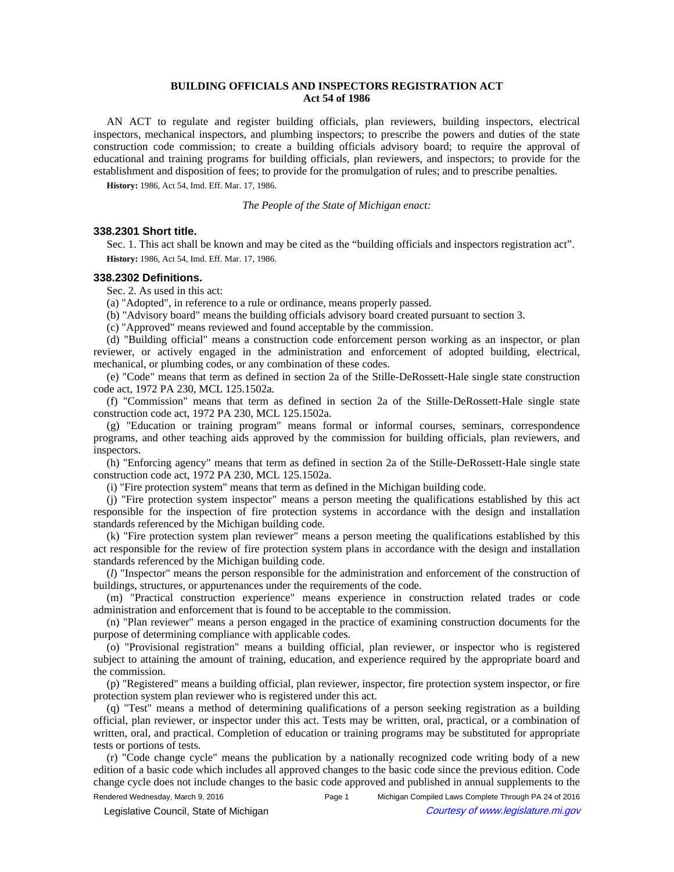## **BUILDING OFFICIALS AND INSPECTORS REGISTRATION ACT Act 54 of 1986**

AN ACT to regulate and register building officials, plan reviewers, building inspectors, electrical inspectors, mechanical inspectors, and plumbing inspectors; to prescribe the powers and duties of the state construction code commission; to create a building officials advisory board; to require the approval of educational and training programs for building officials, plan reviewers, and inspectors; to provide for the establishment and disposition of fees; to provide for the promulgation of rules; and to prescribe penalties.

**History:** 1986, Act 54, Imd. Eff. Mar. 17, 1986.

*The People of the State of Michigan enact:*

### **338.2301 Short title.**

Sec. 1. This act shall be known and may be cited as the "building officials and inspectors registration act". **History:** 1986, Act 54, Imd. Eff. Mar. 17, 1986.

### **338.2302 Definitions.**

Sec. 2. As used in this act:

(a) "Adopted", in reference to a rule or ordinance, means properly passed.

(b) "Advisory board" means the building officials advisory board created pursuant to section 3.

(c) "Approved" means reviewed and found acceptable by the commission.

(d) "Building official" means a construction code enforcement person working as an inspector, or plan reviewer, or actively engaged in the administration and enforcement of adopted building, electrical, mechanical, or plumbing codes, or any combination of these codes.

(e) "Code" means that term as defined in section 2a of the Stille-DeRossett-Hale single state construction code act, 1972 PA 230, MCL 125.1502a.

(f) "Commission" means that term as defined in section 2a of the Stille-DeRossett-Hale single state construction code act, 1972 PA 230, MCL 125.1502a.

(g) "Education or training program" means formal or informal courses, seminars, correspondence programs, and other teaching aids approved by the commission for building officials, plan reviewers, and inspectors.

(h) "Enforcing agency" means that term as defined in section 2a of the Stille-DeRossett-Hale single state construction code act, 1972 PA 230, MCL 125.1502a.

(i) "Fire protection system" means that term as defined in the Michigan building code.

(j) "Fire protection system inspector" means a person meeting the qualifications established by this act responsible for the inspection of fire protection systems in accordance with the design and installation standards referenced by the Michigan building code.

(k) "Fire protection system plan reviewer" means a person meeting the qualifications established by this act responsible for the review of fire protection system plans in accordance with the design and installation standards referenced by the Michigan building code.

(*l*) "Inspector" means the person responsible for the administration and enforcement of the construction of buildings, structures, or appurtenances under the requirements of the code.

(m) "Practical construction experience" means experience in construction related trades or code administration and enforcement that is found to be acceptable to the commission.

(n) "Plan reviewer" means a person engaged in the practice of examining construction documents for the purpose of determining compliance with applicable codes.

(o) "Provisional registration" means a building official, plan reviewer, or inspector who is registered subject to attaining the amount of training, education, and experience required by the appropriate board and the commission.

(p) "Registered" means a building official, plan reviewer, inspector, fire protection system inspector, or fire protection system plan reviewer who is registered under this act.

(q) "Test" means a method of determining qualifications of a person seeking registration as a building official, plan reviewer, or inspector under this act. Tests may be written, oral, practical, or a combination of written, oral, and practical. Completion of education or training programs may be substituted for appropriate tests or portions of tests.

(r) "Code change cycle" means the publication by a nationally recognized code writing body of a new edition of a basic code which includes all approved changes to the basic code since the previous edition. Code change cycle does not include changes to the basic code approved and published in annual supplements to the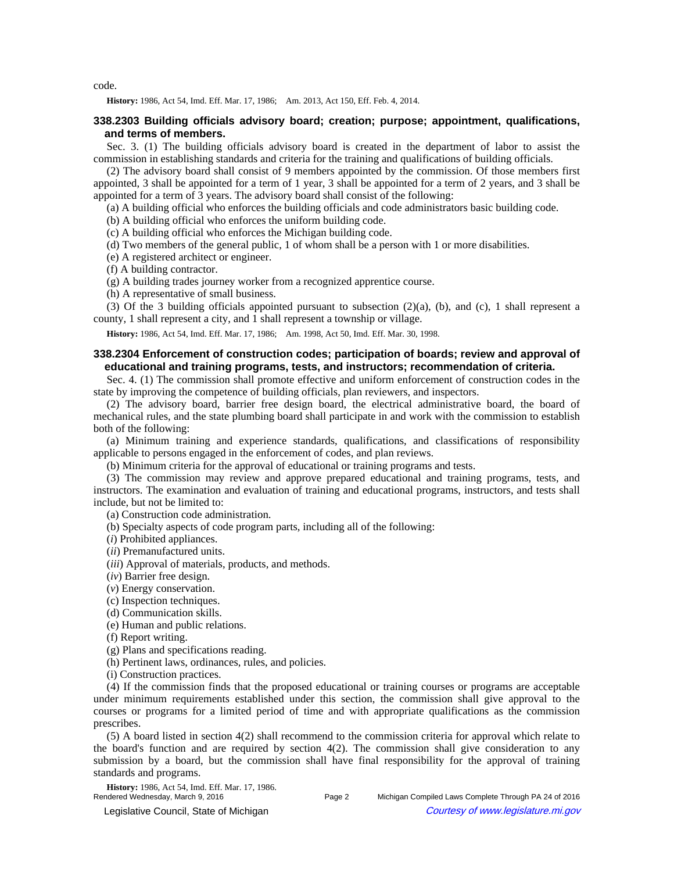code.

History: 1986, Act 54, Imd. Eff. Mar. 17, 1986;-Am. 2013, Act 150, Eff. Feb. 4, 2014.

## **338.2303 Building officials advisory board; creation; purpose; appointment, qualifications, and terms of members.**

Sec. 3. (1) The building officials advisory board is created in the department of labor to assist the commission in establishing standards and criteria for the training and qualifications of building officials.

(2) The advisory board shall consist of 9 members appointed by the commission. Of those members first appointed, 3 shall be appointed for a term of 1 year, 3 shall be appointed for a term of 2 years, and 3 shall be appointed for a term of 3 years. The advisory board shall consist of the following:

(a) A building official who enforces the building officials and code administrators basic building code.

(b) A building official who enforces the uniform building code.

(c) A building official who enforces the Michigan building code.

(d) Two members of the general public, 1 of whom shall be a person with 1 or more disabilities.

(e) A registered architect or engineer.

(f) A building contractor.

(g) A building trades journey worker from a recognized apprentice course.

(h) A representative of small business.

(3) Of the 3 building officials appointed pursuant to subsection (2)(a), (b), and (c), 1 shall represent a county, 1 shall represent a city, and 1 shall represent a township or village.

History: 1986, Act 54, Imd. Eff. Mar. 17, 1986;- Am. 1998, Act 50, Imd. Eff. Mar. 30, 1998.

## **338.2304 Enforcement of construction codes; participation of boards; review and approval of educational and training programs, tests, and instructors; recommendation of criteria.**

Sec. 4. (1) The commission shall promote effective and uniform enforcement of construction codes in the state by improving the competence of building officials, plan reviewers, and inspectors.

(2) The advisory board, barrier free design board, the electrical administrative board, the board of mechanical rules, and the state plumbing board shall participate in and work with the commission to establish both of the following:

(a) Minimum training and experience standards, qualifications, and classifications of responsibility applicable to persons engaged in the enforcement of codes, and plan reviews.

(b) Minimum criteria for the approval of educational or training programs and tests.

(3) The commission may review and approve prepared educational and training programs, tests, and instructors. The examination and evaluation of training and educational programs, instructors, and tests shall include, but not be limited to:

(a) Construction code administration.

(b) Specialty aspects of code program parts, including all of the following:

(*i*) Prohibited appliances.

(*ii*) Premanufactured units.

(*iii*) Approval of materials, products, and methods.

(*iv*) Barrier free design.

(*v*) Energy conservation.

(c) Inspection techniques.

(d) Communication skills.

(e) Human and public relations.

(f) Report writing.

(g) Plans and specifications reading.

(h) Pertinent laws, ordinances, rules, and policies.

(i) Construction practices.

(4) If the commission finds that the proposed educational or training courses or programs are acceptable under minimum requirements established under this section, the commission shall give approval to the courses or programs for a limited period of time and with appropriate qualifications as the commission prescribes.

(5) A board listed in section 4(2) shall recommend to the commission criteria for approval which relate to the board's function and are required by section 4(2). The commission shall give consideration to any submission by a board, but the commission shall have final responsibility for the approval of training standards and programs.

**History:** 1986, Act 54, Imd. Eff. Mar. 17, 1986.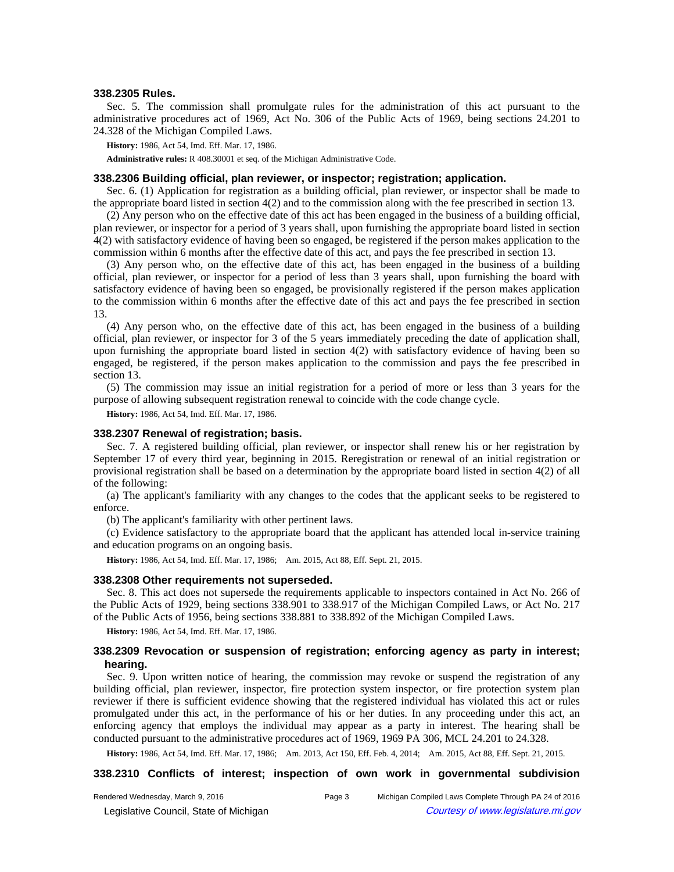#### **338.2305 Rules.**

Sec. 5. The commission shall promulgate rules for the administration of this act pursuant to the administrative procedures act of 1969, Act No. 306 of the Public Acts of 1969, being sections 24.201 to 24.328 of the Michigan Compiled Laws.

**History:** 1986, Act 54, Imd. Eff. Mar. 17, 1986.

**Administrative rules:** R 408.30001 et seq. of the Michigan Administrative Code.

### **338.2306 Building official, plan reviewer, or inspector; registration; application.**

Sec. 6. (1) Application for registration as a building official, plan reviewer, or inspector shall be made to the appropriate board listed in section 4(2) and to the commission along with the fee prescribed in section 13.

(2) Any person who on the effective date of this act has been engaged in the business of a building official, plan reviewer, or inspector for a period of 3 years shall, upon furnishing the appropriate board listed in section 4(2) with satisfactory evidence of having been so engaged, be registered if the person makes application to the commission within 6 months after the effective date of this act, and pays the fee prescribed in section 13.

(3) Any person who, on the effective date of this act, has been engaged in the business of a building official, plan reviewer, or inspector for a period of less than 3 years shall, upon furnishing the board with satisfactory evidence of having been so engaged, be provisionally registered if the person makes application to the commission within 6 months after the effective date of this act and pays the fee prescribed in section 13.

(4) Any person who, on the effective date of this act, has been engaged in the business of a building official, plan reviewer, or inspector for 3 of the 5 years immediately preceding the date of application shall, upon furnishing the appropriate board listed in section 4(2) with satisfactory evidence of having been so engaged, be registered, if the person makes application to the commission and pays the fee prescribed in section 13.

(5) The commission may issue an initial registration for a period of more or less than 3 years for the purpose of allowing subsequent registration renewal to coincide with the code change cycle.

**History:** 1986, Act 54, Imd. Eff. Mar. 17, 1986.

#### **338.2307 Renewal of registration; basis.**

Sec. 7. A registered building official, plan reviewer, or inspector shall renew his or her registration by September 17 of every third year, beginning in 2015. Reregistration or renewal of an initial registration or provisional registration shall be based on a determination by the appropriate board listed in section 4(2) of all of the following:

(a) The applicant's familiarity with any changes to the codes that the applicant seeks to be registered to enforce.

(b) The applicant's familiarity with other pertinent laws.

(c) Evidence satisfactory to the appropriate board that the applicant has attended local in-service training and education programs on an ongoing basis.

History: 1986, Act 54, Imd. Eff. Mar. 17, 1986;-Am. 2015, Act 88, Eff. Sept. 21, 2015.

## **338.2308 Other requirements not superseded.**

Sec. 8. This act does not supersede the requirements applicable to inspectors contained in Act No. 266 of the Public Acts of 1929, being sections 338.901 to 338.917 of the Michigan Compiled Laws, or Act No. 217 of the Public Acts of 1956, being sections 338.881 to 338.892 of the Michigan Compiled Laws.

**History:** 1986, Act 54, Imd. Eff. Mar. 17, 1986.

## **338.2309 Revocation or suspension of registration; enforcing agency as party in interest; hearing.**

Sec. 9. Upon written notice of hearing, the commission may revoke or suspend the registration of any building official, plan reviewer, inspector, fire protection system inspector, or fire protection system plan reviewer if there is sufficient evidence showing that the registered individual has violated this act or rules promulgated under this act, in the performance of his or her duties. In any proceeding under this act, an enforcing agency that employs the individual may appear as a party in interest. The hearing shall be conducted pursuant to the administrative procedures act of 1969, 1969 PA 306, MCL 24.201 to 24.328.

History: 1986, Act 54, Imd. Eff. Mar. 17, 1986;—Am. 2013, Act 150, Eff. Feb. 4, 2014;—Am. 2015, Act 88, Eff. Sept. 21, 2015.

### **338.2310 Conflicts of interest; inspection of own work in governmental subdivision**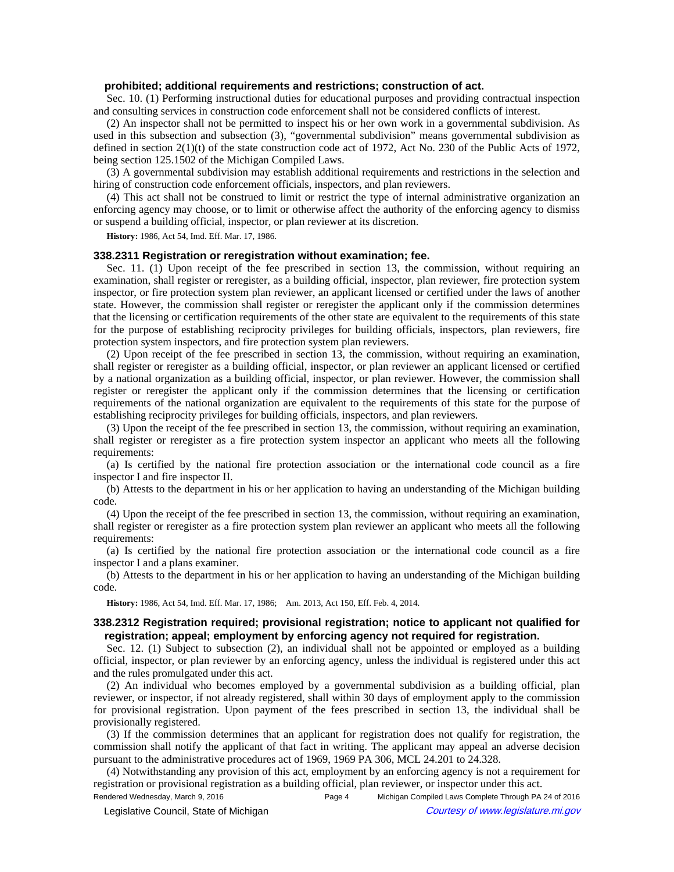### **prohibited; additional requirements and restrictions; construction of act.**

Sec. 10. (1) Performing instructional duties for educational purposes and providing contractual inspection and consulting services in construction code enforcement shall not be considered conflicts of interest.

(2) An inspector shall not be permitted to inspect his or her own work in a governmental subdivision. As used in this subsection and subsection (3), "governmental subdivision" means governmental subdivision as defined in section 2(1)(t) of the state construction code act of 1972, Act No. 230 of the Public Acts of 1972, being section 125.1502 of the Michigan Compiled Laws.

(3) A governmental subdivision may establish additional requirements and restrictions in the selection and hiring of construction code enforcement officials, inspectors, and plan reviewers.

(4) This act shall not be construed to limit or restrict the type of internal administrative organization an enforcing agency may choose, or to limit or otherwise affect the authority of the enforcing agency to dismiss or suspend a building official, inspector, or plan reviewer at its discretion.

**History:** 1986, Act 54, Imd. Eff. Mar. 17, 1986.

### **338.2311 Registration or reregistration without examination; fee.**

Sec. 11. (1) Upon receipt of the fee prescribed in section 13, the commission, without requiring an examination, shall register or reregister, as a building official, inspector, plan reviewer, fire protection system inspector, or fire protection system plan reviewer, an applicant licensed or certified under the laws of another state. However, the commission shall register or reregister the applicant only if the commission determines that the licensing or certification requirements of the other state are equivalent to the requirements of this state for the purpose of establishing reciprocity privileges for building officials, inspectors, plan reviewers, fire protection system inspectors, and fire protection system plan reviewers.

(2) Upon receipt of the fee prescribed in section 13, the commission, without requiring an examination, shall register or reregister as a building official, inspector, or plan reviewer an applicant licensed or certified by a national organization as a building official, inspector, or plan reviewer. However, the commission shall register or reregister the applicant only if the commission determines that the licensing or certification requirements of the national organization are equivalent to the requirements of this state for the purpose of establishing reciprocity privileges for building officials, inspectors, and plan reviewers.

(3) Upon the receipt of the fee prescribed in section 13, the commission, without requiring an examination, shall register or reregister as a fire protection system inspector an applicant who meets all the following requirements:

(a) Is certified by the national fire protection association or the international code council as a fire inspector I and fire inspector II.

(b) Attests to the department in his or her application to having an understanding of the Michigan building code.

(4) Upon the receipt of the fee prescribed in section 13, the commission, without requiring an examination, shall register or reregister as a fire protection system plan reviewer an applicant who meets all the following requirements:

(a) Is certified by the national fire protection association or the international code council as a fire inspector I and a plans examiner.

(b) Attests to the department in his or her application to having an understanding of the Michigan building code.

History: 1986, Act 54, Imd. Eff. Mar. 17, 1986;-Am. 2013, Act 150, Eff. Feb. 4, 2014.

## **338.2312 Registration required; provisional registration; notice to applicant not qualified for registration; appeal; employment by enforcing agency not required for registration.**

Sec. 12. (1) Subject to subsection (2), an individual shall not be appointed or employed as a building official, inspector, or plan reviewer by an enforcing agency, unless the individual is registered under this act and the rules promulgated under this act.

(2) An individual who becomes employed by a governmental subdivision as a building official, plan reviewer, or inspector, if not already registered, shall within 30 days of employment apply to the commission for provisional registration. Upon payment of the fees prescribed in section 13, the individual shall be provisionally registered.

(3) If the commission determines that an applicant for registration does not qualify for registration, the commission shall notify the applicant of that fact in writing. The applicant may appeal an adverse decision pursuant to the administrative procedures act of 1969, 1969 PA 306, MCL 24.201 to 24.328.

(4) Notwithstanding any provision of this act, employment by an enforcing agency is not a requirement for registration or provisional registration as a building official, plan reviewer, or inspector under this act.